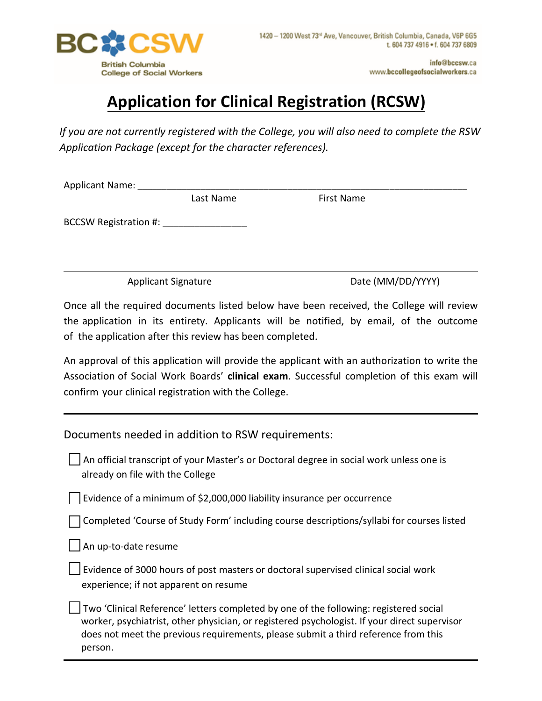

## **Application for Clinical Registration (RCSW)**

*If you are not currently registered with the College, you will also need to complete the RSW Application Package (except for the character references).* 

| Applicant Name: |           |            |  |
|-----------------|-----------|------------|--|
|                 | Last Name | First Name |  |
|                 |           |            |  |

BCCSW Registration #:

Applicant Signature Date (MM/DD/YYYY)

Once all the required documents listed below have been received, the College will review the application in its entirety. Applicants will be notified, by email, of the outcome of the application after this review has been completed.

An approval of this application will provide the applicant with an authorization to write the Association of Social Work Boards' **clinical exam**. Successful completion of this exam will confirm your clinical registration with the College.

Documents needed in addition to RSW requirements:

 An official transcript of your Master's or Doctoral degree in social work unless one is already on file with the College

Evidence of a minimum of \$2,000,000 liability insurance per occurrence

Completed 'Course of Study Form' including course descriptions/syllabi for courses listed

An up-to-date resume

 Evidence of 3000 hours of post masters or doctoral supervised clinical social work experience; if not apparent on resume

 Two 'Clinical Reference' letters completed by one of the following: registered social worker, psychiatrist, other physician, or registered psychologist. If your direct supervisor does not meet the previous requirements, please submit a third reference from this person.